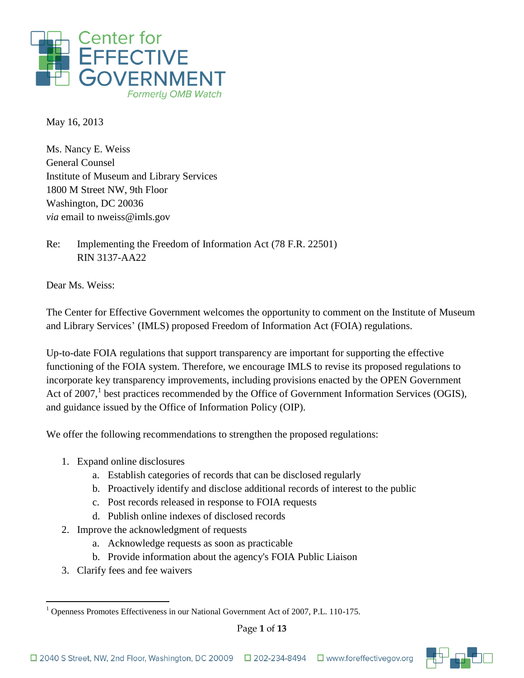

May 16, 2013

Ms. Nancy E. Weiss General Counsel Institute of Museum and Library Services 1800 M Street NW, 9th Floor Washington, DC 20036 *via* email to nweiss@imls.gov

Re: Implementing the Freedom of Information Act (78 F.R. 22501) RIN 3137-AA22

Dear Ms. Weiss:

The Center for Effective Government welcomes the opportunity to comment on the Institute of Museum and Library Services' (IMLS) proposed Freedom of Information Act (FOIA) regulations.

Up-to-date FOIA regulations that support transparency are important for supporting the effective functioning of the FOIA system. Therefore, we encourage IMLS to revise its proposed regulations to incorporate key transparency improvements, including provisions enacted by the OPEN Government Act of 2007,<sup>1</sup> best practices recommended by the Office of Government Information Services (OGIS), and guidance issued by the Office of Information Policy (OIP).

We offer the following recommendations to strengthen the proposed regulations:

- 1. Expand online disclosures
	- a. Establish categories of records that can be disclosed regularly
	- b. Proactively identify and disclose additional records of interest to the public
	- c. Post records released in response to FOIA requests
	- d. Publish online indexes of disclosed records
- 2. Improve the acknowledgment of requests
	- a. Acknowledge requests as soon as practicable
	- b. Provide information about the agency's FOIA Public Liaison
- 3. Clarify fees and fee waivers

 $\overline{a}$ <sup>1</sup> Openness Promotes Effectiveness in our National Government Act of 2007, P.L. 110-175.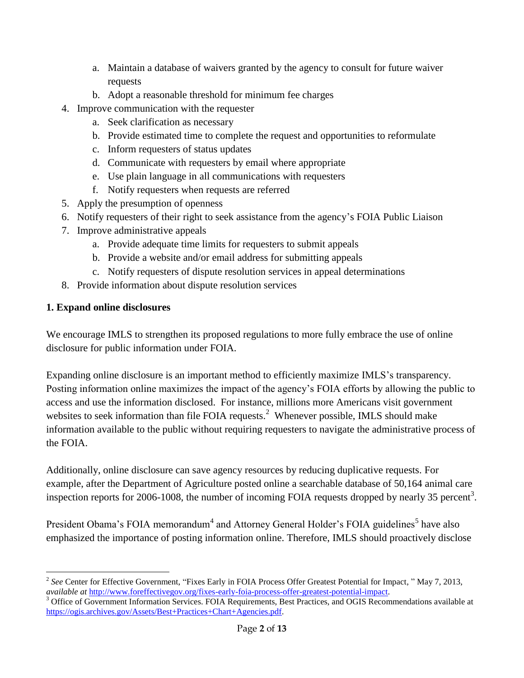- a. Maintain a database of waivers granted by the agency to consult for future waiver requests
- b. Adopt a reasonable threshold for minimum fee charges
- 4. Improve communication with the requester
	- a. Seek clarification as necessary
	- b. Provide estimated time to complete the request and opportunities to reformulate
	- c. Inform requesters of status updates
	- d. Communicate with requesters by email where appropriate
	- e. Use plain language in all communications with requesters
	- f. Notify requesters when requests are referred
- 5. Apply the presumption of openness
- 6. Notify requesters of their right to seek assistance from the agency's FOIA Public Liaison
- 7. Improve administrative appeals
	- a. Provide adequate time limits for requesters to submit appeals
	- b. Provide a website and/or email address for submitting appeals
	- c. Notify requesters of dispute resolution services in appeal determinations
- 8. Provide information about dispute resolution services

## **1. Expand online disclosures**

We encourage IMLS to strengthen its proposed regulations to more fully embrace the use of online disclosure for public information under FOIA.

Expanding online disclosure is an important method to efficiently maximize IMLS's transparency. Posting information online maximizes the impact of the agency's FOIA efforts by allowing the public to access and use the information disclosed. For instance, millions more Americans visit government websites to seek information than file FOIA requests.<sup>2</sup> Whenever possible, IMLS should make information available to the public without requiring requesters to navigate the administrative process of the FOIA.

Additionally, online disclosure can save agency resources by reducing duplicative requests. For example, after the Department of Agriculture posted online a searchable database of 50,164 animal care inspection reports for 2006-1008, the number of incoming FOIA requests dropped by nearly 35 percent<sup>3</sup>.

President Obama's FOIA memorandum<sup>4</sup> and Attorney General Holder's FOIA guidelines<sup>5</sup> have also emphasized the importance of posting information online. Therefore, IMLS should proactively disclose

<sup>1</sup> <sup>2</sup> See Center for Effective Government, "Fixes Early in FOIA Process Offer Greatest Potential for Impact, " May 7, 2013, *available at* [http://www.foreffectivegov.org/fixes-early-foia-process-offer-greatest-potential-impact.](http://www.foreffectivegov.org/fixes-early-foia-process-offer-greatest-potential-impact)

<sup>&</sup>lt;sup>3</sup> Office of Government Information Services. FOIA Requirements, Best Practices, and OGIS Recommendations available at [https://ogis.archives.gov/Assets/Best+Practices+Chart+Agencies.pdf.](https://ogis.archives.gov/Assets/Best+Practices+Chart+Agencies.pdf)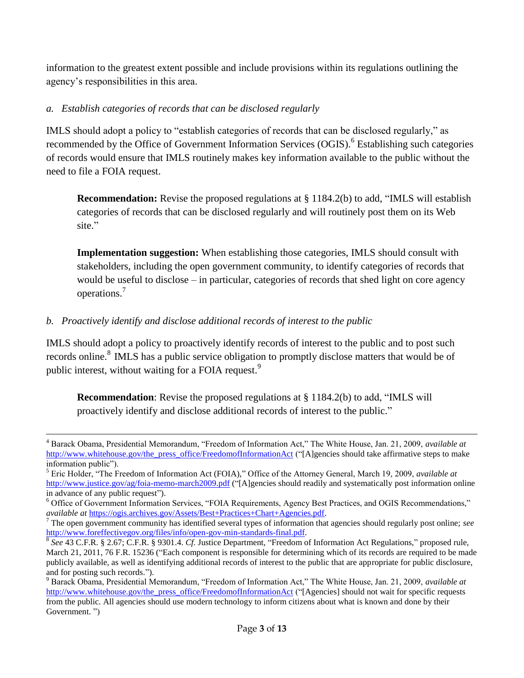information to the greatest extent possible and include provisions within its regulations outlining the agency's responsibilities in this area.

## *a. Establish categories of records that can be disclosed regularly*

IMLS should adopt a policy to "establish categories of records that can be disclosed regularly," as recommended by the Office of Government Information Services (OGIS).<sup>6</sup> Establishing such categories of records would ensure that IMLS routinely makes key information available to the public without the need to file a FOIA request.

**Recommendation:** Revise the proposed regulations at § 1184.2(b) to add, "IMLS will establish categories of records that can be disclosed regularly and will routinely post them on its Web site."

**Implementation suggestion:** When establishing those categories, IMLS should consult with stakeholders, including the open government community, to identify categories of records that would be useful to disclose – in particular, categories of records that shed light on core agency operations. 7

# *b. Proactively identify and disclose additional records of interest to the public*

1

IMLS should adopt a policy to proactively identify records of interest to the public and to post such records online.<sup>8</sup> IMLS has a public service obligation to promptly disclose matters that would be of public interest, without waiting for a FOIA request.<sup>9</sup>

**Recommendation**: Revise the proposed regulations at § 1184.2(b) to add, "IMLS will proactively identify and disclose additional records of interest to the public."

<sup>4</sup> Barack Obama, Presidential Memorandum, "Freedom of Information Act," The White House, Jan. 21, 2009, *available at* [http://www.whitehouse.gov/the\\_press\\_office/FreedomofInformationAct](http://www.whitehouse.gov/the_press_office/FreedomofInformationAct) ("[A]gencies should take affirmative steps to make information public").

<sup>5</sup> Eric Holder, "The Freedom of Information Act (FOIA)," Office of the Attorney General, March 19, 2009, *available at*  <http://www.justice.gov/ag/foia-memo-march2009.pdf> ("[A]gencies should readily and systematically post information online in advance of any public request").

<sup>6</sup> Office of Government Information Services, "FOIA Requirements, Agency Best Practices, and OGIS Recommendations," *available at* [https://ogis.archives.gov/Assets/Best+Practices+Chart+Agencies.pdf.](https://ogis.archives.gov/Assets/Best+Practices+Chart+Agencies.pdf)

<sup>7</sup> The open government community has identified several types of information that agencies should regularly post online; *see* [http://www.foreffectivegov.org/files/info/open-gov-min-standards-final.pdf.](http://www.foreffectivegov.org/files/info/open-gov-min-standards-final.pdf) 

<sup>8</sup> *See* 43 C.F.R. § 2.67; C.F.R. § 9301.4. *Cf.* Justice Department, "Freedom of Information Act Regulations," proposed rule, March 21, 2011, 76 F.R. 15236 ("Each component is responsible for determining which of its records are required to be made publicly available, as well as identifying additional records of interest to the public that are appropriate for public disclosure, and for posting such records.").

<sup>9</sup> Barack Obama, Presidential Memorandum, "Freedom of Information Act," The White House, Jan. 21, 2009, *available at* [http://www.whitehouse.gov/the\\_press\\_office/FreedomofInformationAct](http://www.whitehouse.gov/the_press_office/FreedomofInformationAct) ("[Agencies] should not wait for specific requests from the public. All agencies should use modern technology to inform citizens about what is known and done by their Government. ")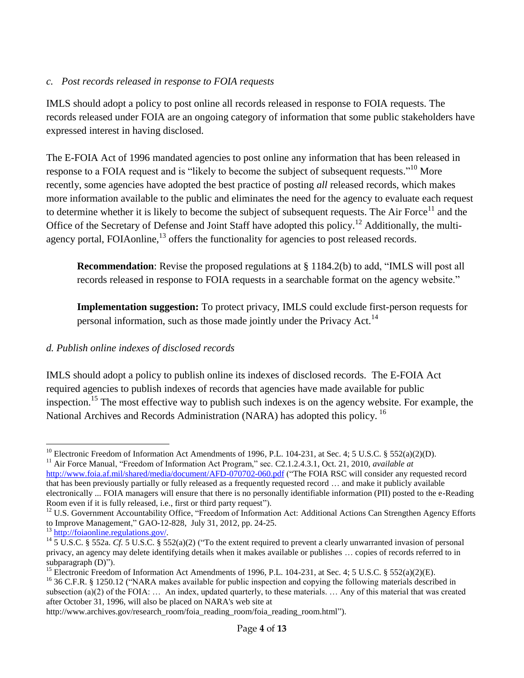#### *c. Post records released in response to FOIA requests*

IMLS should adopt a policy to post online all records released in response to FOIA requests. The records released under FOIA are an ongoing category of information that some public stakeholders have expressed interest in having disclosed.

The E-FOIA Act of 1996 mandated agencies to post online any information that has been released in response to a FOIA request and is "likely to become the subject of subsequent requests."<sup>10</sup> More recently, some agencies have adopted the best practice of posting *all* released records, which makes more information available to the public and eliminates the need for the agency to evaluate each request to determine whether it is likely to become the subject of subsequent requests. The Air Force<sup>11</sup> and the Office of the Secretary of Defense and Joint Staff have adopted this policy.<sup>12</sup> Additionally, the multiagency portal, FOIAonline,<sup>13</sup> offers the functionality for agencies to post released records.

**Recommendation**: Revise the proposed regulations at § 1184.2(b) to add, "IMLS will post all records released in response to FOIA requests in a searchable format on the agency website."

**Implementation suggestion:** To protect privacy, IMLS could exclude first-person requests for personal information, such as those made jointly under the Privacy Act.<sup>14</sup>

## *d. Publish online indexes of disclosed records*

IMLS should adopt a policy to publish online its indexes of disclosed records. The E-FOIA Act required agencies to publish indexes of records that agencies have made available for public inspection.<sup>15</sup> The most effective way to publish such indexes is on the agency website. For example, the National Archives and Records Administration (NARA) has adopted this policy.<sup>16</sup>

<sup>15</sup> Electronic Freedom of Information Act Amendments of 1996, P.L. 104-231, at Sec. 4; 5 U.S.C. § 552(a)(2)(E).

 $\overline{a}$ <sup>10</sup> Electronic Freedom of Information Act Amendments of 1996, P.L. 104-231, at Sec. 4; 5 U.S.C. § 552(a)(2)(D).

<sup>&</sup>lt;sup>11</sup> Air Force Manual, "Freedom of Information Act Program," sec. C2.1.2.4.3.1, Oct. 21, 2010, *available at* <http://www.foia.af.mil/shared/media/document/AFD-070702-060.pdf> ("The FOIA RSC will consider any requested record that has been previously partially or fully released as a frequently requested record … and make it publicly available electronically ... FOIA managers will ensure that there is no personally identifiable information (PII) posted to the e-Reading Room even if it is fully released, i.e., first or third party request").

<sup>&</sup>lt;sup>12</sup> U.S. Government Accountability Office, "Freedom of Information Act: Additional Actions Can Strengthen Agency Efforts to Improve Management," GAO-12-828, July 31, 2012, pp. 24-25.

<sup>13</sup> [http://foiaonline.regulations.gov/.](http://foiaonline.regulations.gov/)

<sup>&</sup>lt;sup>14</sup> 5 U.S.C. § 552a. *Cf.* 5 U.S.C. § 552(a)(2) ("To the extent required to prevent a clearly unwarranted invasion of personal privacy, an agency may delete identifying details when it makes available or publishes … copies of records referred to in subparagraph (D)").

 $^{16}$  36 C.F.R. § 1250.12 ("NARA makes available for public inspection and copying the following materials described in subsection (a)(2) of the FOIA: … An index, updated quarterly, to these materials. … Any of this material that was created after October 31, 1996, will also be placed on NARA's web site at

http://www.archives.gov/research\_room/foia\_reading\_room/foia\_reading\_room.html").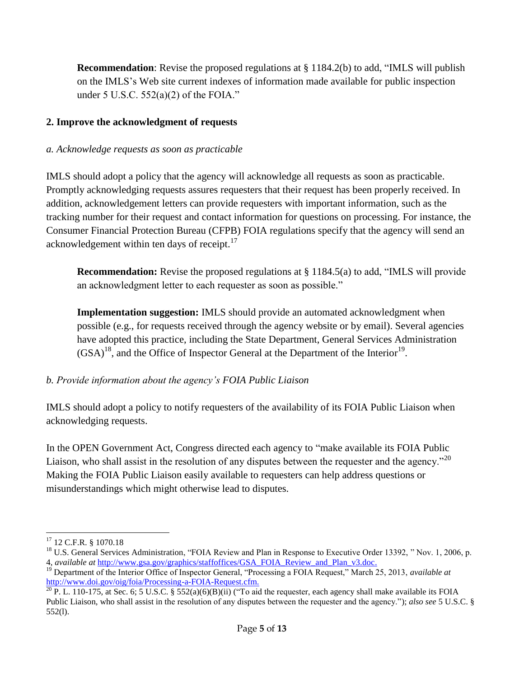**Recommendation**: Revise the proposed regulations at § 1184.2(b) to add, "IMLS will publish on the IMLS's Web site current indexes of information made available for public inspection under 5 U.S.C. 552(a)(2) of the FOIA."

## **2. Improve the acknowledgment of requests**

## *a. Acknowledge requests as soon as practicable*

IMLS should adopt a policy that the agency will acknowledge all requests as soon as practicable. Promptly acknowledging requests assures requesters that their request has been properly received. In addition, acknowledgement letters can provide requesters with important information, such as the tracking number for their request and contact information for questions on processing. For instance, the Consumer Financial Protection Bureau (CFPB) FOIA regulations specify that the agency will send an acknowledgement within ten days of receipt.<sup>17</sup>

**Recommendation:** Revise the proposed regulations at § 1184.5(a) to add, "IMLS will provide an acknowledgment letter to each requester as soon as possible."

**Implementation suggestion:** IMLS should provide an automated acknowledgment when possible (e.g., for requests received through the agency website or by email). Several agencies have adopted this practice, including the State Department, General Services Administration  $(GSA)^{18}$ , and the Office of Inspector General at the Department of the Interior<sup>19</sup>.

# *b. Provide information about the agency's FOIA Public Liaison*

IMLS should adopt a policy to notify requesters of the availability of its FOIA Public Liaison when acknowledging requests.

In the OPEN Government Act, Congress directed each agency to "make available its FOIA Public Liaison, who shall assist in the resolution of any disputes between the requester and the agency."<sup>20</sup> Making the FOIA Public Liaison easily available to requesters can help address questions or misunderstandings which might otherwise lead to disputes.

 $\overline{a}$ <sup>17</sup> 12 C.F.R. § 1070.18

<sup>&</sup>lt;sup>18</sup> U.S. General Services Administration, "FOIA Review and Plan in Response to Executive Order 13392, " Nov. 1, 2006, p. 4, *available at* [http://www.gsa.gov/graphics/staffoffices/GSA\\_FOIA\\_Review\\_and\\_Plan\\_v3.doc.](http://www.gsa.gov/graphics/staffoffices/GSA_FOIA_Review_and_Plan_v3.doc)

<sup>19</sup> Department of the Interior Office of Inspector General, "Processing a FOIA Request," March 25, 2013, *available at*  [http://www.doi.gov/oig/foia/Processing-a-FOIA-Request.cfm.](http://www.doi.gov/oig/foia/Processing-a-FOIA-Request.cfm)

 $^{20}$  P. L. 110-175, at Sec. 6; 5 U.S.C. § 552(a)(6)(B)(ii) ("To aid the requester, each agency shall make available its FOIA Public Liaison, who shall assist in the resolution of any disputes between the requester and the agency."); *also see* 5 U.S.C. § 552(l).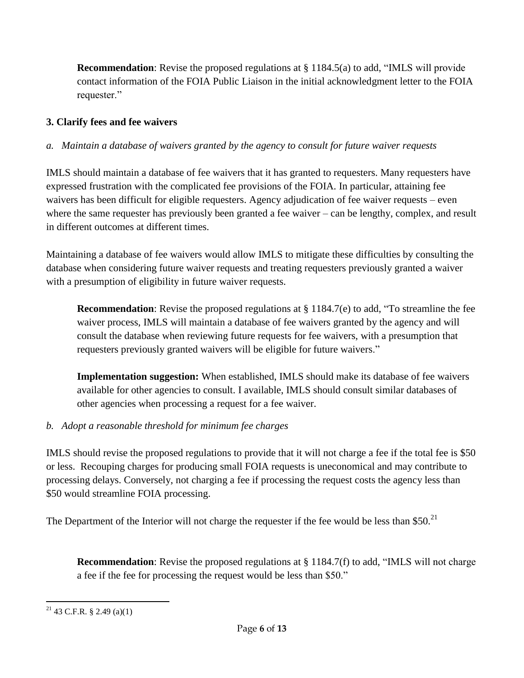**Recommendation**: Revise the proposed regulations at § 1184.5(a) to add, "IMLS will provide contact information of the FOIA Public Liaison in the initial acknowledgment letter to the FOIA requester."

# **3. Clarify fees and fee waivers**

# *a. Maintain a database of waivers granted by the agency to consult for future waiver requests*

IMLS should maintain a database of fee waivers that it has granted to requesters. Many requesters have expressed frustration with the complicated fee provisions of the FOIA. In particular, attaining fee waivers has been difficult for eligible requesters. Agency adjudication of fee waiver requests – even where the same requester has previously been granted a fee waiver – can be lengthy, complex, and result in different outcomes at different times.

Maintaining a database of fee waivers would allow IMLS to mitigate these difficulties by consulting the database when considering future waiver requests and treating requesters previously granted a waiver with a presumption of eligibility in future waiver requests.

**Recommendation**: Revise the proposed regulations at § 1184.7(e) to add, "To streamline the fee waiver process, IMLS will maintain a database of fee waivers granted by the agency and will consult the database when reviewing future requests for fee waivers, with a presumption that requesters previously granted waivers will be eligible for future waivers."

**Implementation suggestion:** When established, IMLS should make its database of fee waivers available for other agencies to consult. I available, IMLS should consult similar databases of other agencies when processing a request for a fee waiver.

# *b. Adopt a reasonable threshold for minimum fee charges*

IMLS should revise the proposed regulations to provide that it will not charge a fee if the total fee is \$50 or less. Recouping charges for producing small FOIA requests is uneconomical and may contribute to processing delays. Conversely, not charging a fee if processing the request costs the agency less than \$50 would streamline FOIA processing.

The Department of the Interior will not charge the requester if the fee would be less than \$50.<sup>21</sup>

**Recommendation**: Revise the proposed regulations at § 1184.7(f) to add, "IMLS will not charge a fee if the fee for processing the request would be less than \$50."

 $\overline{a}$  $^{21}$  43 C.F.R. § 2.49 (a)(1)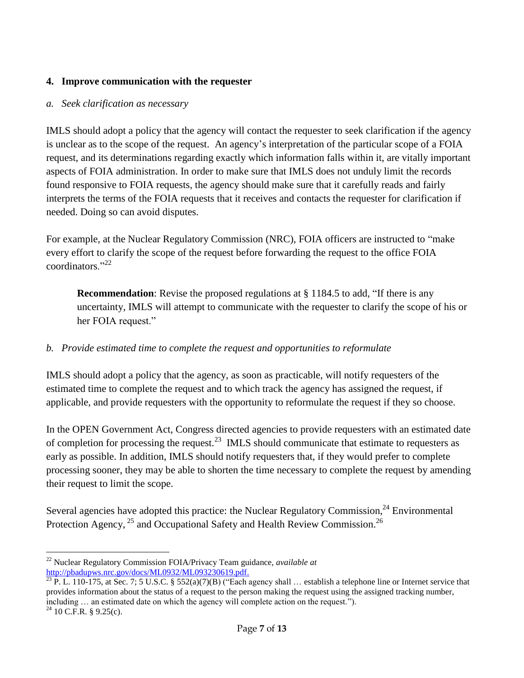### **4. Improve communication with the requester**

#### *a. Seek clarification as necessary*

IMLS should adopt a policy that the agency will contact the requester to seek clarification if the agency is unclear as to the scope of the request. An agency's interpretation of the particular scope of a FOIA request, and its determinations regarding exactly which information falls within it, are vitally important aspects of FOIA administration. In order to make sure that IMLS does not unduly limit the records found responsive to FOIA requests, the agency should make sure that it carefully reads and fairly interprets the terms of the FOIA requests that it receives and contacts the requester for clarification if needed. Doing so can avoid disputes.

For example, at the Nuclear Regulatory Commission (NRC), FOIA officers are instructed to "make every effort to clarify the scope of the request before forwarding the request to the office FOIA coordinators<sup>"22</sup>

**Recommendation**: Revise the proposed regulations at § 1184.5 to add, "If there is any uncertainty, IMLS will attempt to communicate with the requester to clarify the scope of his or her FOIA request."

## *b. Provide estimated time to complete the request and opportunities to reformulate*

IMLS should adopt a policy that the agency, as soon as practicable, will notify requesters of the estimated time to complete the request and to which track the agency has assigned the request, if applicable, and provide requesters with the opportunity to reformulate the request if they so choose.

In the OPEN Government Act, Congress directed agencies to provide requesters with an estimated date of completion for processing the request.<sup>23</sup> IMLS should communicate that estimate to requesters as early as possible. In addition, IMLS should notify requesters that, if they would prefer to complete processing sooner, they may be able to shorten the time necessary to complete the request by amending their request to limit the scope.

Several agencies have adopted this practice: the Nuclear Regulatory Commission, $^{24}$  Environmental Protection Agency, <sup>25</sup> and Occupational Safety and Health Review Commission.<sup>26</sup>

<sup>1</sup> <sup>22</sup> Nuclear Regulatory Commission FOIA/Privacy Team guidance, *available at* [http://pbadupws.nrc.gov/docs/ML0932/ML093230619.pdf.](http://pbadupws.nrc.gov/docs/ML0932/ML093230619.pdf)

 $\frac{23 \text{ P. L. 110-175, at Sec. 7; 5 U.S.C. } $552(a)(7)(B)$  ("Each agency shall ... establish a telephone line or Internet service that provides information about the status of a request to the person making the request using the assigned tracking number, including … an estimated date on which the agency will complete action on the request.").  $^{24}$  10 C.F.R. § 9.25(c).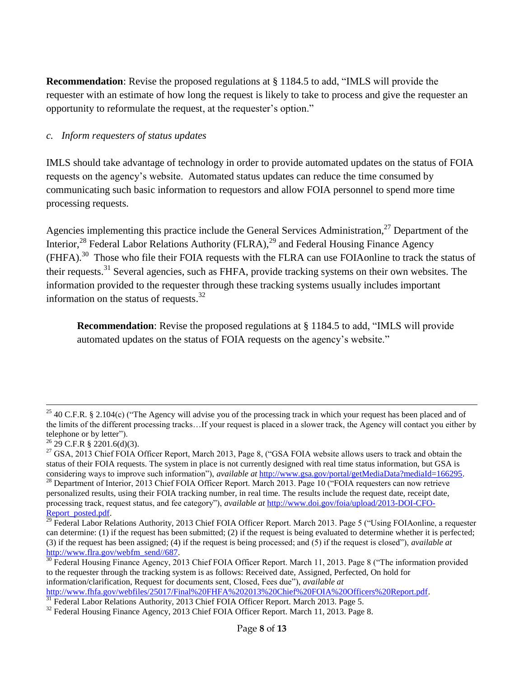**Recommendation**: Revise the proposed regulations at § 1184.5 to add, "IMLS will provide the requester with an estimate of how long the request is likely to take to process and give the requester an opportunity to reformulate the request, at the requester's option."

#### *c. Inform requesters of status updates*

IMLS should take advantage of technology in order to provide automated updates on the status of FOIA requests on the agency's website. Automated status updates can reduce the time consumed by communicating such basic information to requestors and allow FOIA personnel to spend more time processing requests.

Agencies implementing this practice include the General Services Administration,<sup>27</sup> Department of the Interior,<sup>28</sup> Federal Labor Relations Authority (FLRA),<sup>29</sup> and Federal Housing Finance Agency (FHFA).<sup>30</sup> Those who file their FOIA requests with the FLRA can use FOIAonline to track the status of their requests.<sup>31</sup> Several agencies, such as FHFA, provide tracking systems on their own websites. The information provided to the requester through these tracking systems usually includes important information on the status of requests. $^{32}$ 

**Recommendation**: Revise the proposed regulations at § 1184.5 to add, "IMLS will provide automated updates on the status of FOIA requests on the agency's website."

1

<sup>&</sup>lt;sup>25</sup> 40 C.F.R. § 2.104(c) ("The Agency will advise you of the processing track in which your request has been placed and of the limits of the different processing tracks…If your request is placed in a slower track, the Agency will contact you either by telephone or by letter").

 $^{26}$  29 C.F.R § 2201.6(d)(3).

<sup>&</sup>lt;sup>27</sup> GSA, 2013 Chief FOIA Officer Report, March 2013, Page 8, ("GSA FOIA website allows users to track and obtain the status of their FOIA requests. The system in place is not currently designed with real time status information, but GSA is considering ways to improve such information"), *available at* [http://www.gsa.gov/portal/getMediaData?mediaId=166295.](http://www.gsa.gov/portal/getMediaData?mediaId=166295)

<sup>&</sup>lt;sup>28</sup> Department of Interior, 2013 Chief FOIA Officer Report. March 2013. Page 10 ("FOIA requesters can now retrieve personalized results, using their FOIA tracking number, in real time. The results include the request date, receipt date, processing track, request status, and fee category"), *available at* [http://www.doi.gov/foia/upload/2013-DOI-CFO-](http://www.doi.gov/foia/upload/2013-DOI-CFO-Report_posted.pdf)[Report\\_posted.pdf.](http://www.doi.gov/foia/upload/2013-DOI-CFO-Report_posted.pdf)

<sup>&</sup>lt;sup>29</sup> Federal Labor Relations Authority, 2013 Chief FOIA Officer Report. March 2013. Page 5 ("Using FOIAonline, a requester can determine: (1) if the request has been submitted; (2) if the request is being evaluated to determine whether it is perfected; (3) if the request has been assigned; (4) if the request is being processed; and (5) if the request is closed"), *available at*  [http://www.flra.gov/webfm\\_send//687.](http://www.flra.gov/webfm_send/687)

 $30$  Federal Housing Finance Agency, 2013 Chief FOIA Officer Report. March 11, 2013. Page 8 ("The information provided to the requester through the tracking system is as follows: Received date, Assigned, Perfected, On hold for information/clarification, Request for documents sent, Closed, Fees due"), *available at*  [http://www.fhfa.gov/webfiles/25017/Final%20FHFA%202013%20Chief%20FOIA%20Officers%20Report.pdf.](http://www.fhfa.gov/webfiles/25017/Final%20FHFA%202013%20Chief%20FOIA%20Officers%20Report.pdf)

<sup>&</sup>lt;sup>31</sup> Federal Labor Relations Authority, 2013 Chief FOIA Officer Report. March 2013. Page 5.

<sup>&</sup>lt;sup>32</sup> Federal Housing Finance Agency, 2013 Chief FOIA Officer Report. March 11, 2013. Page 8.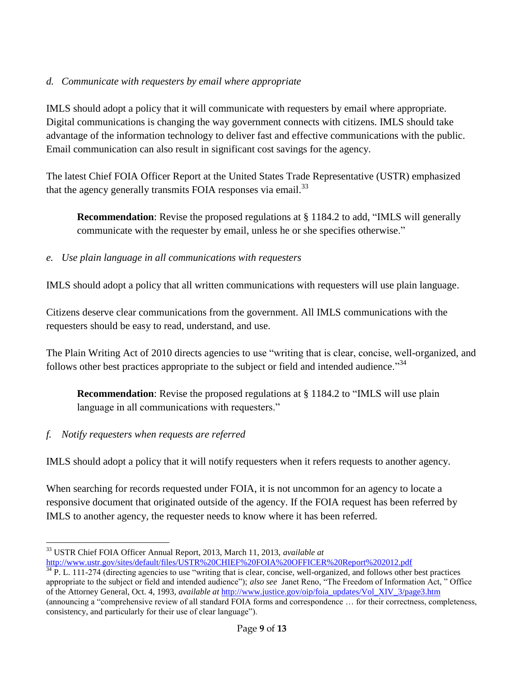## *d. Communicate with requesters by email where appropriate*

IMLS should adopt a policy that it will communicate with requesters by email where appropriate. Digital communications is changing the way government connects with citizens. IMLS should take advantage of the information technology to deliver fast and effective communications with the public. Email communication can also result in significant cost savings for the agency.

The latest Chief FOIA Officer Report at the United States Trade Representative (USTR) emphasized that the agency generally transmits FOIA responses via email.<sup>33</sup>

**Recommendation**: Revise the proposed regulations at § 1184.2 to add, "IMLS will generally communicate with the requester by email, unless he or she specifies otherwise."

# *e. Use plain language in all communications with requesters*

IMLS should adopt a policy that all written communications with requesters will use plain language.

Citizens deserve clear communications from the government. All IMLS communications with the requesters should be easy to read, understand, and use.

The Plain Writing Act of 2010 directs agencies to use "writing that is clear, concise, well-organized, and follows other best practices appropriate to the subject or field and intended audience."<sup>34</sup>

**Recommendation**: Revise the proposed regulations at § 1184.2 to "IMLS will use plain language in all communications with requesters."

# *f. Notify requesters when requests are referred*

IMLS should adopt a policy that it will notify requesters when it refers requests to another agency.

When searching for records requested under FOIA, it is not uncommon for an agency to locate a responsive document that originated outside of the agency. If the FOIA request has been referred by IMLS to another agency, the requester needs to know where it has been referred.

 $\overline{a}$ <sup>33</sup> USTR Chief FOIA Officer Annual Report, 2013, March 11, 2013, *available at*

<http://www.ustr.gov/sites/default/files/USTR%20CHIEF%20FOIA%20OFFICER%20Report%202012.pdf>

 $34$  P. L. 111-274 (directing agencies to use "writing that is clear, concise, well-organized, and follows other best practices appropriate to the subject or field and intended audience"); *also see* Janet Reno, "The Freedom of Information Act, " Office of the Attorney General, Oct. 4, 1993, *available at* [http://www.justice.gov/oip/foia\\_updates/Vol\\_XIV\\_3/page3.htm](http://www.justice.gov/oip/foia_updates/Vol_XIV_3/page3.htm) (announcing a "comprehensive review of all standard FOIA forms and correspondence … for their correctness, completeness, consistency, and particularly for their use of clear language").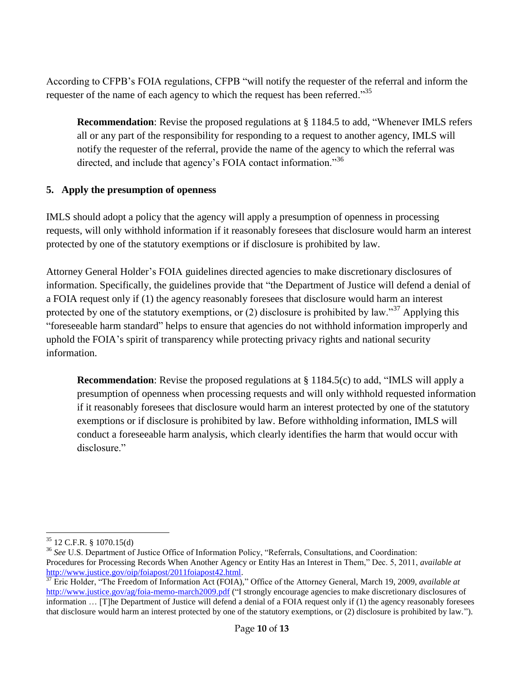According to CFPB's FOIA regulations, CFPB "will notify the requester of the referral and inform the requester of the name of each agency to which the request has been referred."<sup>35</sup>

**Recommendation**: Revise the proposed regulations at § 1184.5 to add, "Whenever IMLS refers all or any part of the responsibility for responding to a request to another agency, IMLS will notify the requester of the referral, provide the name of the agency to which the referral was directed, and include that agency's FOIA contact information."<sup>36</sup>

### **5. Apply the presumption of openness**

IMLS should adopt a policy that the agency will apply a presumption of openness in processing requests, will only withhold information if it reasonably foresees that disclosure would harm an interest protected by one of the statutory exemptions or if disclosure is prohibited by law.

Attorney General Holder's FOIA guidelines directed agencies to make discretionary disclosures of information. Specifically, the guidelines provide that "the Department of Justice will defend a denial of a FOIA request only if (1) the agency reasonably foresees that disclosure would harm an interest protected by one of the statutory exemptions, or  $(2)$  disclosure is prohibited by law."<sup>37</sup> Applying this "foreseeable harm standard" helps to ensure that agencies do not withhold information improperly and uphold the FOIA's spirit of transparency while protecting privacy rights and national security information.

**Recommendation**: Revise the proposed regulations at § 1184.5(c) to add, "IMLS will apply a presumption of openness when processing requests and will only withhold requested information if it reasonably foresees that disclosure would harm an interest protected by one of the statutory exemptions or if disclosure is prohibited by law. Before withholding information, IMLS will conduct a foreseeable harm analysis, which clearly identifies the harm that would occur with disclosure"

 $\overline{a}$  $35$  12 C.F.R. § 1070.15(d)

<sup>&</sup>lt;sup>36</sup> See U.S. Department of Justice Office of Information Policy, "Referrals, Consultations, and Coordination: Procedures for Processing Records When Another Agency or Entity Has an Interest in Them," Dec. 5, 2011, *available at* [http://www.justice.gov/oip/foiapost/2011foiapost42.html.](http://www.justice.gov/oip/foiapost/2011foiapost42.html)

<sup>&</sup>lt;sup>37</sup> Eric Holder, "The Freedom of Information Act (FOIA)," Office of the Attorney General, March 19, 2009, *available at* <http://www.justice.gov/ag/foia-memo-march2009.pdf> ("I strongly encourage agencies to make discretionary disclosures of information … [T]he Department of Justice will defend a denial of a FOIA request only if (1) the agency reasonably foresees that disclosure would harm an interest protected by one of the statutory exemptions, or (2) disclosure is prohibited by law.").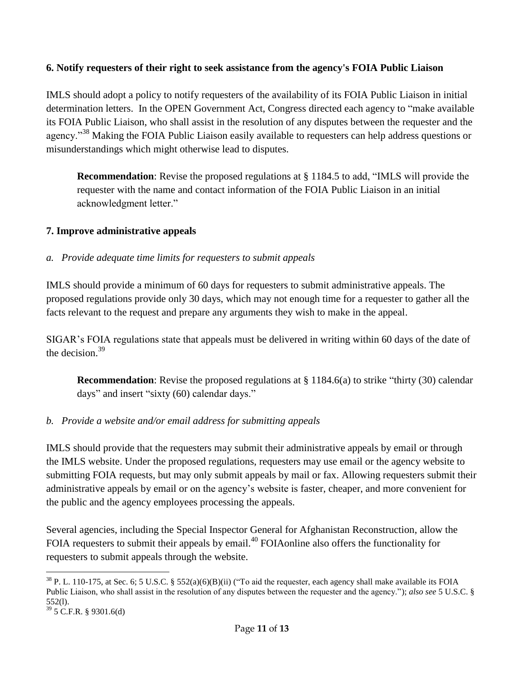### **6. Notify requesters of their right to seek assistance from the agency's FOIA Public Liaison**

IMLS should adopt a policy to notify requesters of the availability of its FOIA Public Liaison in initial determination letters. In the OPEN Government Act, Congress directed each agency to "make available its FOIA Public Liaison, who shall assist in the resolution of any disputes between the requester and the agency."<sup>38</sup> Making the FOIA Public Liaison easily available to requesters can help address questions or misunderstandings which might otherwise lead to disputes.

**Recommendation**: Revise the proposed regulations at § 1184.5 to add, "IMLS will provide the requester with the name and contact information of the FOIA Public Liaison in an initial acknowledgment letter."

### **7. Improve administrative appeals**

### *a. Provide adequate time limits for requesters to submit appeals*

IMLS should provide a minimum of 60 days for requesters to submit administrative appeals. The proposed regulations provide only 30 days, which may not enough time for a requester to gather all the facts relevant to the request and prepare any arguments they wish to make in the appeal.

SIGAR's FOIA regulations state that appeals must be delivered in writing within 60 days of the date of the decision. 39

**Recommendation**: Revise the proposed regulations at § 1184.6(a) to strike "thirty (30) calendar days" and insert "sixty (60) calendar days."

## *b. Provide a website and/or email address for submitting appeals*

IMLS should provide that the requesters may submit their administrative appeals by email or through the IMLS website. Under the proposed regulations, requesters may use email or the agency website to submitting FOIA requests, but may only submit appeals by mail or fax. Allowing requesters submit their administrative appeals by email or on the agency's website is faster, cheaper, and more convenient for the public and the agency employees processing the appeals.

Several agencies, including the Special Inspector General for Afghanistan Reconstruction, allow the FOIA requesters to submit their appeals by email.<sup>40</sup> FOIAonline also offers the functionality for requesters to submit appeals through the website.

<sup>1</sup>  $38$  P. L. 110-175, at Sec. 6; 5 U.S.C. § 552(a)(6)(B)(ii) ("To aid the requester, each agency shall make available its FOIA Public Liaison, who shall assist in the resolution of any disputes between the requester and the agency."); *also see* 5 U.S.C. § 552(l).

 $39$  5 C.F.R. § 9301.6(d)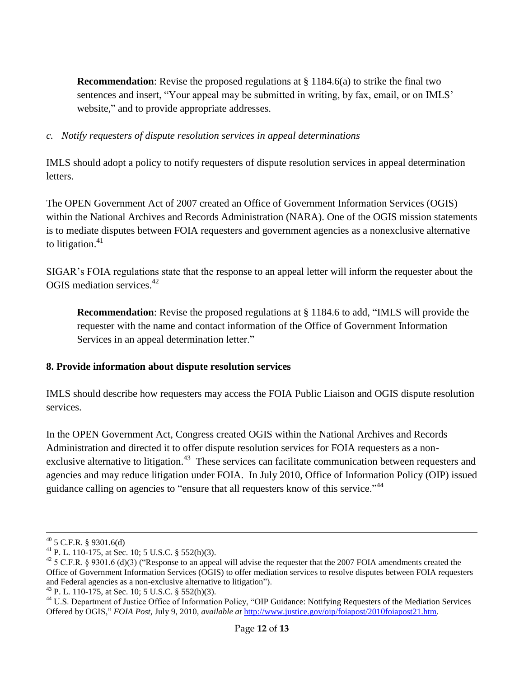**Recommendation**: Revise the proposed regulations at  $\S$  1184.6(a) to strike the final two sentences and insert, "Your appeal may be submitted in writing, by fax, email, or on IMLS' website," and to provide appropriate addresses.

### *c. Notify requesters of dispute resolution services in appeal determinations*

IMLS should adopt a policy to notify requesters of dispute resolution services in appeal determination letters.

The OPEN Government Act of 2007 created an Office of Government Information Services (OGIS) within the National Archives and Records Administration (NARA). One of the OGIS mission statements is to mediate disputes between FOIA requesters and government agencies as a nonexclusive alternative to litigation.<sup>41</sup>

SIGAR's FOIA regulations state that the response to an appeal letter will inform the requester about the OGIS mediation services.<sup>42</sup>

**Recommendation**: Revise the proposed regulations at § 1184.6 to add, "IMLS will provide the requester with the name and contact information of the Office of Government Information Services in an appeal determination letter."

## **8. Provide information about dispute resolution services**

IMLS should describe how requesters may access the FOIA Public Liaison and OGIS dispute resolution services.

In the OPEN Government Act, Congress created OGIS within the National Archives and Records Administration and directed it to offer dispute resolution services for FOIA requesters as a nonexclusive alternative to litigation.<sup>43</sup> These services can facilitate communication between requesters and agencies and may reduce litigation under FOIA. In July 2010, Office of Information Policy (OIP) issued guidance calling on agencies to "ensure that all requesters know of this service."<sup>44</sup>

 $\overline{a}$  $40$  5 C.F.R. § 9301.6(d)

<sup>&</sup>lt;sup>41</sup> P. L. 110-175, at Sec. 10; 5 U.S.C. § 552(h)(3).

<sup>&</sup>lt;sup>42</sup> 5 C.F.R. § 9301.6 (d)(3) ("Response to an appeal will advise the requester that the 2007 FOIA amendments created the Office of Government Information Services (OGIS) to offer mediation services to resolve disputes between FOIA requesters and Federal agencies as a non-exclusive alternative to litigation").

<sup>&</sup>lt;sup>43</sup> P. L. 110-175, at Sec. 10; 5 U.S.C. § 552(h)(3).

<sup>&</sup>lt;sup>44</sup> U.S. Department of Justice Office of Information Policy, "OIP Guidance: Notifying Requesters of the Mediation Services Offered by OGIS," *FOIA Post*, July 9, 2010, *available at* [http://www.justice.gov/oip/foiapost/2010foiapost21.htm.](http://www.justice.gov/oip/foiapost/2010foiapost21.htm)